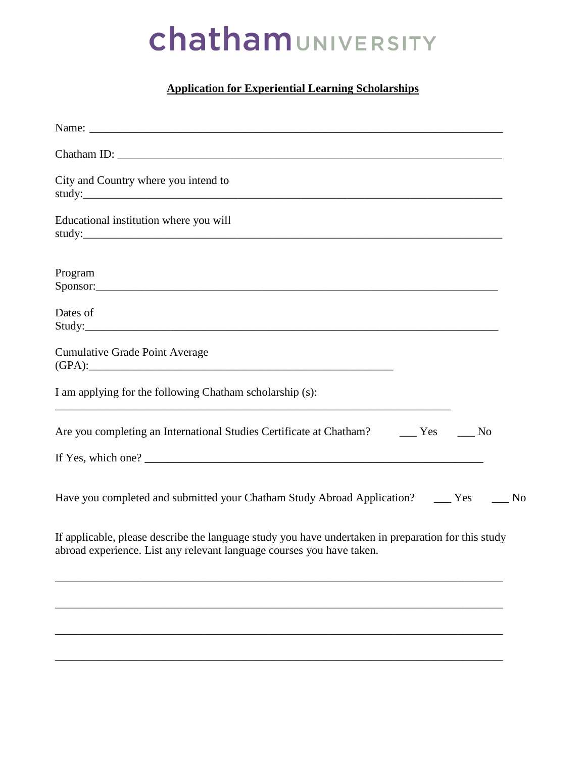# ChathamUNIVERSITY

### **Application for Experiential Learning Scholarships**

| City and Country where you intend to                                                                                                                                         |  |
|------------------------------------------------------------------------------------------------------------------------------------------------------------------------------|--|
| Educational institution where you will                                                                                                                                       |  |
| Program                                                                                                                                                                      |  |
| Dates of                                                                                                                                                                     |  |
| <b>Cumulative Grade Point Average</b>                                                                                                                                        |  |
| I am applying for the following Chatham scholarship (s):                                                                                                                     |  |
| Are you completing an International Studies Certificate at Chatham? _______ Yes ______ No                                                                                    |  |
|                                                                                                                                                                              |  |
| Have you completed and submitted your Chatham Study Abroad Application? ______ Yes ______ No                                                                                 |  |
| If applicable, please describe the language study you have undertaken in preparation for this study<br>abroad experience. List any relevant language courses you have taken. |  |
|                                                                                                                                                                              |  |
|                                                                                                                                                                              |  |
|                                                                                                                                                                              |  |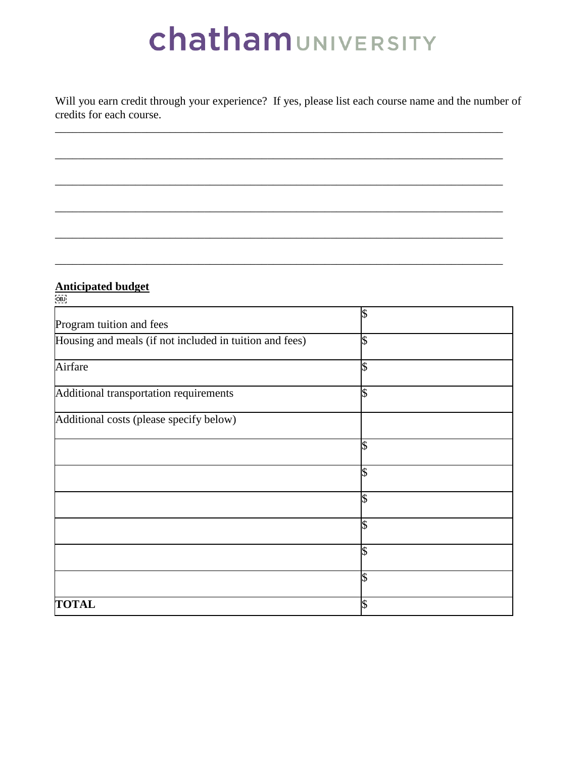# ChathamUNIVERSITY

Will you earn credit through your experience? If yes, please list each course name and the number of credits for each course.

\_\_\_\_\_\_\_\_\_\_\_\_\_\_\_\_\_\_\_\_\_\_\_\_\_\_\_\_\_\_\_\_\_\_\_\_\_\_\_\_\_\_\_\_\_\_\_\_\_\_\_\_\_\_\_\_\_\_\_\_\_\_\_\_\_\_\_\_\_\_\_\_\_\_\_\_\_\_

\_\_\_\_\_\_\_\_\_\_\_\_\_\_\_\_\_\_\_\_\_\_\_\_\_\_\_\_\_\_\_\_\_\_\_\_\_\_\_\_\_\_\_\_\_\_\_\_\_\_\_\_\_\_\_\_\_\_\_\_\_\_\_\_\_\_\_\_\_\_\_\_\_\_\_\_\_\_

\_\_\_\_\_\_\_\_\_\_\_\_\_\_\_\_\_\_\_\_\_\_\_\_\_\_\_\_\_\_\_\_\_\_\_\_\_\_\_\_\_\_\_\_\_\_\_\_\_\_\_\_\_\_\_\_\_\_\_\_\_\_\_\_\_\_\_\_\_\_\_\_\_\_\_\_\_\_

\_\_\_\_\_\_\_\_\_\_\_\_\_\_\_\_\_\_\_\_\_\_\_\_\_\_\_\_\_\_\_\_\_\_\_\_\_\_\_\_\_\_\_\_\_\_\_\_\_\_\_\_\_\_\_\_\_\_\_\_\_\_\_\_\_\_\_\_\_\_\_\_\_\_\_\_\_\_

\_\_\_\_\_\_\_\_\_\_\_\_\_\_\_\_\_\_\_\_\_\_\_\_\_\_\_\_\_\_\_\_\_\_\_\_\_\_\_\_\_\_\_\_\_\_\_\_\_\_\_\_\_\_\_\_\_\_\_\_\_\_\_\_\_\_\_\_\_\_\_\_\_\_\_\_\_\_

\_\_\_\_\_\_\_\_\_\_\_\_\_\_\_\_\_\_\_\_\_\_\_\_\_\_\_\_\_\_\_\_\_\_\_\_\_\_\_\_\_\_\_\_\_\_\_\_\_\_\_\_\_\_\_\_\_\_\_\_\_\_\_\_\_\_\_\_\_\_\_\_\_\_\_\_\_\_

### **Anticipated budget**

| [OB]                                                    |                          |
|---------------------------------------------------------|--------------------------|
| Program tuition and fees                                | \$                       |
| Housing and meals (if not included in tuition and fees) | \$                       |
| Airfare                                                 | $\overline{\mathcal{S}}$ |
| Additional transportation requirements                  | \$                       |
| Additional costs (please specify below)                 |                          |
|                                                         | \$                       |
|                                                         | \$                       |
|                                                         | \$                       |
|                                                         | \$                       |
|                                                         | \$                       |
|                                                         | $\overline{\mathbb{S}}$  |
| <b>TOTAL</b>                                            | \$                       |